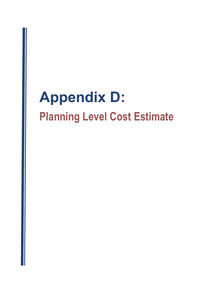## Appendix D: Planning Level Cost Estimate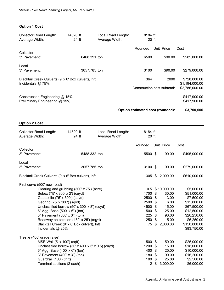| <b>Option 1 Cost</b>                                                       |                                             |                                      |                                  |                                                      |                                        |  |
|----------------------------------------------------------------------------|---------------------------------------------|--------------------------------------|----------------------------------|------------------------------------------------------|----------------------------------------|--|
| <b>Collector Road Length:</b><br>Average Width:                            | 14520 ft<br>24 ft                           | Local Road Length:<br>Average Width: | 8184 ft<br>20 ft                 |                                                      |                                        |  |
|                                                                            |                                             |                                      | Rounded                          | Unit Price                                           | Cost                                   |  |
| Collector<br>3" Pavement:                                                  | 6468.391 ton                                |                                      | 6500                             | \$90.00                                              | \$585,000.00                           |  |
| Local<br>3" Pavement:                                                      | 3057.785 ton                                |                                      | 3100                             | \$90.00                                              | \$279,000.00                           |  |
| Blacktail Creek Culverts (9' x 6' Box culvert), Inft<br>Incidentals @ 75%: |                                             |                                      | 364                              |                                                      | 2000<br>\$728,000.00<br>\$1,194,000.00 |  |
|                                                                            |                                             |                                      | Construction cost subtotal:      |                                                      | \$2,786,000.00                         |  |
| Construction Engineering @ 15%<br>Preliminary Engineering @ 15%            |                                             |                                      | \$417,900.00<br>\$417,900.00     |                                                      |                                        |  |
|                                                                            |                                             |                                      | Option estimated cost (rounded): |                                                      | \$3,700,000                            |  |
| <b>Option 2 Cost</b>                                                       |                                             |                                      |                                  |                                                      |                                        |  |
| <b>Collector Road Length:</b><br>Average Width:                            | 14520 ft<br>24 ft                           | Local Road Length:<br>Average Width: | 8184 ft<br>20 ft                 |                                                      |                                        |  |
|                                                                            |                                             |                                      | Rounded                          | <b>Unit Price</b>                                    | Cost                                   |  |
| Collector<br>3" Pavement:                                                  | 5488.332 ton                                |                                      | 5500 \$                          | 90.00                                                | \$495,000.00                           |  |
| Local<br>3" Pavement:                                                      | 3057.785 ton                                |                                      | 3100 \$                          | 90.00                                                | \$279,000.00                           |  |
| Blacktail Creek Culverts (9' x 6' Box culvert), Inft                       |                                             |                                      |                                  | 305 \$ 2,000.00                                      | \$610,000.00                           |  |
| First curve (500' new road)                                                |                                             |                                      |                                  |                                                      |                                        |  |
| Clearing and grubbing (300' x 75') (acre)                                  |                                             |                                      |                                  | 0.5 \$10,000.00                                      | \$5,000.00                             |  |
| Subex (75' x 300' x 2') (cuyd)                                             |                                             |                                      | 1700 \$<br>2500 \$               | 30.00                                                | \$51,000.00<br>3.00<br>\$7,500.00      |  |
| Geotextile (75' x 300') (sqyd)<br>Geogrid (75' x 300') (sqyd)              |                                             |                                      | 2500 \$                          |                                                      | 6.00<br>\$15,000.00                    |  |
| Unclassified borrow (50' x 300' x 8') (cuyd)                               |                                             |                                      | 4500                             | 15.00<br>\$                                          | \$67,500.00                            |  |
| 6" Agg. Base (500' x 6") (ton)                                             |                                             |                                      | 500                              | \$<br>25.00                                          | \$12,500.00                            |  |
| 3" Pavement (500' x 3") (ton)                                              |                                             |                                      | 225                              | $\boldsymbol{\mathsf{S}}$<br>90.00                   | \$20,250.00                            |  |
| Roadway obliteration (450' x 25') (sqyd)                                   |                                             |                                      | 1250                             | \$                                                   | 5.00<br>\$6,250.00                     |  |
| Incidentals @ 25%                                                          | Blacktail Creek (9' x 6' Box culvert), Inft |                                      | 75                               | $\boldsymbol{\mathsf{S}}$<br>2,000.00                | \$150,000.00<br>\$83,750.00            |  |
| Trestle (400' grade raise)                                                 |                                             |                                      |                                  |                                                      |                                        |  |
| MSE Wall (5' x 100') (sqft)                                                |                                             |                                      | 500 \$                           | 50.00                                                | \$25,000.00                            |  |
| Unclassified borrow (30' x 400' x 5' x 0.5) (cuyd)                         |                                             |                                      | 1200                             | \$<br>15.00                                          | \$18,000.00                            |  |
| 6" Agg. Base (400' x 6") (ton)                                             |                                             |                                      | 400                              | $\boldsymbol{\mathsf{S}}$<br>25.00                   | \$10,000.00                            |  |
| 3" Pavement (400' x 3") (ton)                                              |                                             |                                      | 180                              | $\boldsymbol{\mathsf{S}}$<br>90.00                   | \$16,200.00                            |  |
| Guardrail (100') (Inft)<br>Terminal sections (2 each)                      |                                             |                                      | 100<br>$\overline{2}$            | 25.00<br>$\boldsymbol{\mathsf{S}}$<br>3,000.00<br>\$ | \$2,500.00<br>\$6,000.00               |  |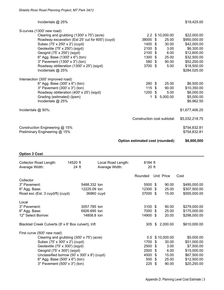## $Incidents @ 25\%$  \$19,425.00

| S-curves (1300' new road)                        |                             |      |                 |                |
|--------------------------------------------------|-----------------------------|------|-----------------|----------------|
| Clearing and grubbing (1300' x 75') (acre)       |                             |      | 2.2 \$10,000.00 | \$22,000.00    |
| Roadway excavation (Est 25' cut for 600') (cuyd) | 38000 \$                    |      | 25.00           | \$950,000.00   |
| Subex (75' x 250' x 2') (cuyd)                   | 1400                        | - \$ | 30.00           | \$42,000.00    |
| Geotextile (75' x 250') (sqyd)                   | $2100$ \$                   |      | 3.00            | \$6,300.00     |
| Geogrid (75' x 250') (sqyd)                      | 2100                        | - \$ | 6.00            | \$12,600.00    |
| 6" Agg. Base (1300' x 6") (ton)                  | 1300 \$                     |      | 25.00           | \$32,500.00    |
| 3" Pavement (1300' x 3") (ton)                   | 580 \$                      |      | 90.00           | \$52,200.00    |
| Roadway obliteration (1300' x 25') (sqyd)        | 3700 \$                     |      | 5.00            | \$18,500.00    |
| Incidentals @ 25%                                |                             |      |                 | \$284,025.00   |
| Intersection (300' improved road)                |                             |      |                 |                |
| 6" Agg. Base (300' x 6") (ton)                   | $260 \text{ } $$            |      | 25.00           | \$6,500.00     |
| 3" Pavement (300' x 3") (ton)                    | 115S                        |      | 90.00           | \$10,350.00    |
| Roadway obliteration (400' x 25') (sqyd)         | $1200$ \$                   |      | 5.00            | \$6,000.00     |
| Grading (estimated) (lpsm)                       | 1                           | \$   | 5,000.00        | \$5,000.00     |
| Incidentals @ 25%                                |                             |      |                 | \$6,962.50     |
| Incidentals @ 50%:                               |                             |      |                 | \$1,677,406.25 |
|                                                  |                             |      |                 |                |
|                                                  | Construction cost subtotal: |      |                 | \$5,032,218.75 |
| Construction Engineering @ 15%                   |                             |      |                 | \$754,832.81   |
| Preliminary Engineering @ 15%                    |                             |      |                 | \$754,832.81   |
|                                                  |                             |      |                 |                |

**Option estimated cost (rounded): \$6,600,000**

**Option 3 Cost**

| Collector Road Length:<br>Average Width:             | 14520 ft<br>24 ft |              | Local Road Length:<br>Average Width: | 8184 ft<br>$20$ ft |             |              |              |
|------------------------------------------------------|-------------------|--------------|--------------------------------------|--------------------|-------------|--------------|--------------|
|                                                      |                   |              |                                      | Rounded            |             | Unit Price   | Cost         |
| Collector                                            |                   |              |                                      |                    |             |              |              |
| 3" Pavement:                                         |                   | 5488.332 ton |                                      | 5500 \$            |             | 90.00        | \$495,000.00 |
| 6" Agg. Base:                                        |                   | 12225.09 ton |                                      | 12300              | -\$         | 25.00        | \$307,500.00 |
| Road exc (Est. 3 cuyd/ft) (cuyd)                     |                   | 36960 cuyd   |                                      | 37000 \$           |             | 15.00        | \$555,000.00 |
| Local                                                |                   |              |                                      |                    |             |              |              |
| 3" Pavement:                                         |                   | 3057.785 ton |                                      | $3100$ \$          |             | 90.00        | \$279,000.00 |
| 6" Agg. Base:                                        |                   | 6926.695 ton |                                      | 7000 \$            |             | 25.00        | \$175,000.00 |
| 12" Select Borrow:                                   |                   | 14808.8 ton  |                                      | 14900 \$           |             | 20.00        | \$298,000.00 |
| Blacktail Creek Culverts (9' x 6' Box culvert), Inft |                   |              | 305                                  | \$                 | 2,000.00    | \$610,000.00 |              |
| First curve (500' new road)                          |                   |              |                                      |                    |             |              |              |
| Clearing and grubbing (300' x 75') (acre)            |                   |              | 0.5                                  |                    | \$10,000.00 | \$5,000.00   |              |
| Subex (75' x 300' x 2') (cuyd)                       |                   |              | 1700                                 | -\$                | 30.00       | \$51,000.00  |              |
| Geotextile (75' x 300') (sqyd)                       |                   |              | 2500                                 | -\$                | 3.00        | \$7,500.00   |              |
| Geogrid (75' x 300') (sqyd)                          |                   | 2500         | -\$                                  | 6.00               | \$15,000.00 |              |              |
| Unclassified borrow (50' x 300' x 8') (cuyd)         |                   |              |                                      | 4500               | \$          | 15.00        | \$67,500.00  |
| 6" Agg. Base (500' x 6") (ton)                       |                   |              |                                      | 500                | - S         | 25.00        | \$12,500.00  |
| 3" Pavement (500' x 3") (ton)                        |                   |              |                                      | 225                | \$          | 90.00        | \$20,250.00  |